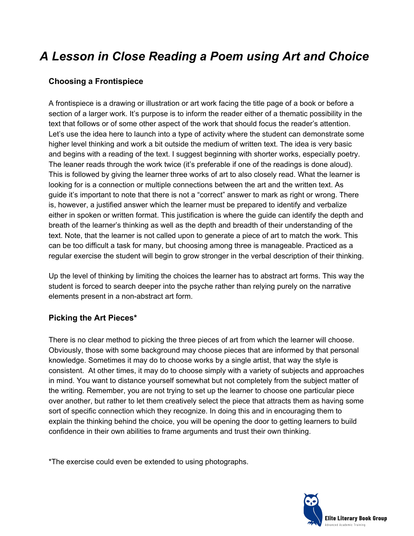# *A Lesson in Close Reading a Poem using Art and Choice*

#### **Choosing a Frontispiece**

A frontispiece is a drawing or illustration or art work facing the title page of a book or before a section of a larger work. It's purpose is to inform the reader either of a thematic possibility in the text that follows or of some other aspect of the work that should focus the reader's attention. Let's use the idea here to launch into a type of activity where the student can demonstrate some higher level thinking and work a bit outside the medium of written text. The idea is very basic and begins with a reading of the text. I suggest beginning with shorter works, especially poetry. The leaner reads through the work twice (it's preferable if one of the readings is done aloud). This is followed by giving the learner three works of art to also closely read. What the learner is looking for is a connection or multiple connections between the art and the written text. As guide it's important to note that there is not a "correct" answer to mark as right or wrong. There is, however, a justified answer which the learner must be prepared to identify and verbalize either in spoken or written format. This justification is where the guide can identify the depth and breath of the learner's thinking as well as the depth and breadth of their understanding of the text. Note, that the learner is not called upon to generate a piece of art to match the work. This can be too difficult a task for many, but choosing among three is manageable. Practiced as a regular exercise the student will begin to grow stronger in the verbal description of their thinking.

Up the level of thinking by limiting the choices the learner has to abstract art forms. This way the student is forced to search deeper into the psyche rather than relying purely on the narrative elements present in a non-abstract art form.

### **Picking the Art Pieces\***

There is no clear method to picking the three pieces of art from which the learner will choose. Obviously, those with some background may choose pieces that are informed by that personal knowledge. Sometimes it may do to choose works by a single artist, that way the style is consistent. At other times, it may do to choose simply with a variety of subjects and approaches in mind. You want to distance yourself somewhat but not completely from the subject matter of the writing. Remember, you are not trying to set up the learner to choose one particular piece over another, but rather to let them creatively select the piece that attracts them as having some sort of specific connection which they recognize. In doing this and in encouraging them to explain the thinking behind the choice, you will be opening the door to getting learners to build confidence in their own abilities to frame arguments and trust their own thinking.

\*The exercise could even be extended to using photographs.

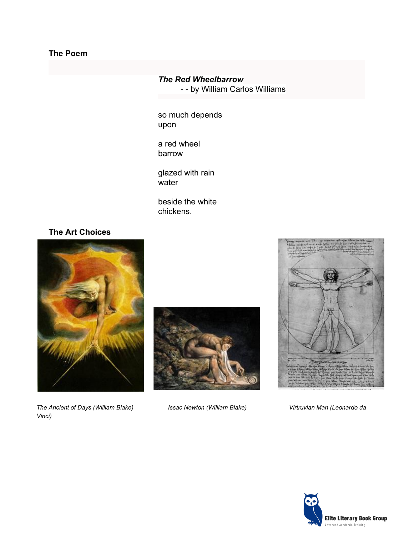### **The Poem**

#### *The Red Wheelbarrow*

- - by William Carlos Williams

so much depends upon

a red wheel barrow

glazed with rain water

beside the white chickens.

#### **The Art Choices**



*The Ancient of Days (William Blake) Issac Newton (William Blake) Virtruvian Man (Leonardo da Vinci)*